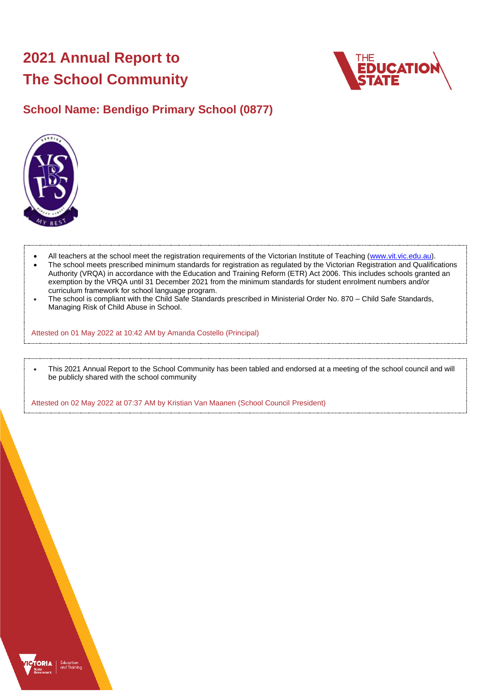# **2021 Annual Report to The School Community**



## **School Name: Bendigo Primary School (0877)**



- All teachers at the school meet the registration requirements of the Victorian Institute of Teaching [\(www.vit.vic.edu.au\)](https://www.vit.vic.edu.au/).
- The school meets prescribed minimum standards for registration as regulated by the Victorian Registration and Qualifications Authority (VRQA) in accordance with the Education and Training Reform (ETR) Act 2006. This includes schools granted an exemption by the VRQA until 31 December 2021 from the minimum standards for student enrolment numbers and/or curriculum framework for school language program.
- The school is compliant with the Child Safe Standards prescribed in Ministerial Order No. 870 Child Safe Standards, Managing Risk of Child Abuse in School.

Attested on 01 May 2022 at 10:42 AM by Amanda Costello (Principal)

• This 2021 Annual Report to the School Community has been tabled and endorsed at a meeting of the school council and will be publicly shared with the school community

Attested on 02 May 2022 at 07:37 AM by Kristian Van Maanen (School Council President)

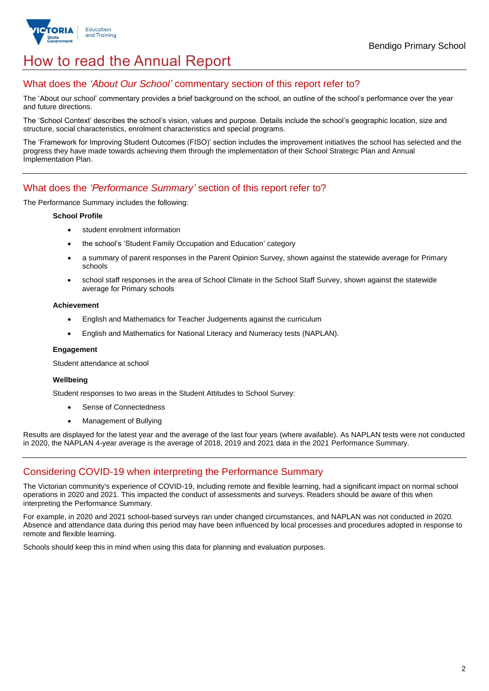

## How to read the Annual Report

## What does the *'About Our School'* commentary section of this report refer to?

The 'About our school' commentary provides a brief background on the school, an outline of the school's performance over the year and future directions.

The 'School Context' describes the school's vision, values and purpose. Details include the school's geographic location, size and structure, social characteristics, enrolment characteristics and special programs.

The 'Framework for Improving Student Outcomes (FISO)' section includes the improvement initiatives the school has selected and the progress they have made towards achieving them through the implementation of their School Strategic Plan and Annual Implementation Plan.

### What does the *'Performance Summary'* section of this report refer to?

The Performance Summary includes the following:

### **School Profile**

- student enrolment information
- the school's 'Student Family Occupation and Education' category
- a summary of parent responses in the Parent Opinion Survey, shown against the statewide average for Primary schools
- school staff responses in the area of School Climate in the School Staff Survey, shown against the statewide average for Primary schools

#### **Achievement**

- English and Mathematics for Teacher Judgements against the curriculum
- English and Mathematics for National Literacy and Numeracy tests (NAPLAN).

### **Engagement**

Student attendance at school

### **Wellbeing**

Student responses to two areas in the Student Attitudes to School Survey:

- Sense of Connectedness
- Management of Bullying

Results are displayed for the latest year and the average of the last four years (where available). As NAPLAN tests were not conducted in 2020, the NAPLAN 4-year average is the average of 2018, 2019 and 2021 data in the 2021 Performance Summary.

## Considering COVID-19 when interpreting the Performance Summary

The Victorian community's experience of COVID-19, including remote and flexible learning, had a significant impact on normal school operations in 2020 and 2021. This impacted the conduct of assessments and surveys. Readers should be aware of this when interpreting the Performance Summary.

For example, in 2020 and 2021 school-based surveys ran under changed circumstances, and NAPLAN was not conducted in 2020. Absence and attendance data during this period may have been influenced by local processes and procedures adopted in response to remote and flexible learning.

Schools should keep this in mind when using this data for planning and evaluation purposes.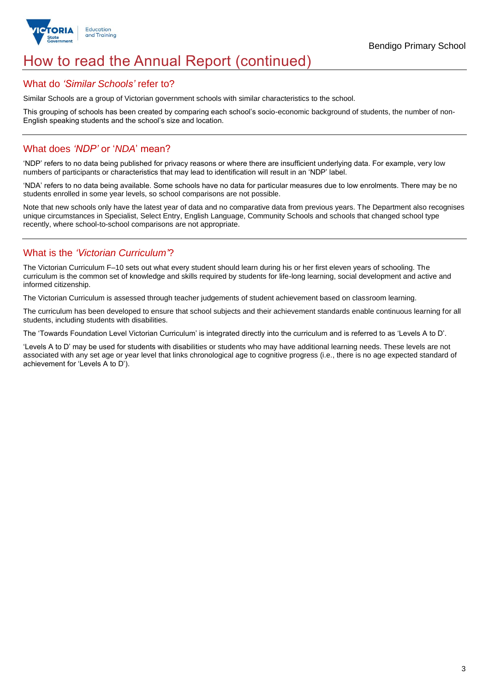

## How to read the Annual Report (continued)

### What do *'Similar Schools'* refer to?

Similar Schools are a group of Victorian government schools with similar characteristics to the school.

This grouping of schools has been created by comparing each school's socio-economic background of students, the number of non-English speaking students and the school's size and location.

## What does *'NDP'* or '*NDA*' mean?

'NDP' refers to no data being published for privacy reasons or where there are insufficient underlying data. For example, very low numbers of participants or characteristics that may lead to identification will result in an 'NDP' label.

'NDA' refers to no data being available. Some schools have no data for particular measures due to low enrolments. There may be no students enrolled in some year levels, so school comparisons are not possible.

Note that new schools only have the latest year of data and no comparative data from previous years. The Department also recognises unique circumstances in Specialist, Select Entry, English Language, Community Schools and schools that changed school type recently, where school-to-school comparisons are not appropriate.

## What is the *'Victorian Curriculum'*?

The Victorian Curriculum F–10 sets out what every student should learn during his or her first eleven years of schooling. The curriculum is the common set of knowledge and skills required by students for life-long learning, social development and active and informed citizenship.

The Victorian Curriculum is assessed through teacher judgements of student achievement based on classroom learning.

The curriculum has been developed to ensure that school subjects and their achievement standards enable continuous learning for all students, including students with disabilities.

The 'Towards Foundation Level Victorian Curriculum' is integrated directly into the curriculum and is referred to as 'Levels A to D'.

'Levels A to D' may be used for students with disabilities or students who may have additional learning needs. These levels are not associated with any set age or year level that links chronological age to cognitive progress (i.e., there is no age expected standard of achievement for 'Levels A to D').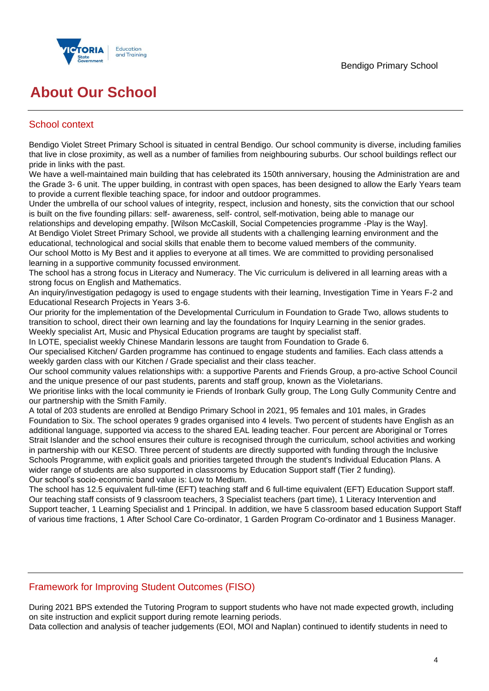

## **About Our School**

## School context

Bendigo Violet Street Primary School is situated in central Bendigo. Our school community is diverse, including families that live in close proximity, as well as a number of families from neighbouring suburbs. Our school buildings reflect our pride in links with the past.

We have a well-maintained main building that has celebrated its 150th anniversary, housing the Administration are and the Grade 3- 6 unit. The upper building, in contrast with open spaces, has been designed to allow the Early Years team to provide a current flexible teaching space, for indoor and outdoor programmes.

Under the umbrella of our school values of integrity, respect, inclusion and honesty, sits the conviction that our school is built on the five founding pillars: self- awareness, self- control, self-motivation, being able to manage our

relationships and developing empathy. [Wilson McCaskill, Social Competencies programme -Play is the Way]. At Bendigo Violet Street Primary School, we provide all students with a challenging learning environment and the educational, technological and social skills that enable them to become valued members of the community. Our school Motto is My Best and it applies to everyone at all times. We are committed to providing personalised learning in a supportive community focussed environment.

The school has a strong focus in Literacy and Numeracy. The Vic curriculum is delivered in all learning areas with a strong focus on English and Mathematics.

An inquiry/investigation pedagogy is used to engage students with their learning, Investigation Time in Years F-2 and Educational Research Projects in Years 3-6.

Our priority for the implementation of the Developmental Curriculum in Foundation to Grade Two, allows students to transition to school, direct their own learning and lay the foundations for Inquiry Learning in the senior grades. Weekly specialist Art, Music and Physical Education programs are taught by specialist staff.

In LOTE, specialist weekly Chinese Mandarin lessons are taught from Foundation to Grade 6.

Our specialised Kitchen/ Garden programme has continued to engage students and families. Each class attends a weekly garden class with our Kitchen / Grade specialist and their class teacher.

Our school community values relationships with: a supportive Parents and Friends Group, a pro-active School Council and the unique presence of our past students, parents and staff group, known as the Violetarians.

We prioritise links with the local community ie Friends of Ironbark Gully group, The Long Gully Community Centre and our partnership with the Smith Family.

A total of 203 students are enrolled at Bendigo Primary School in 2021, 95 females and 101 males, in Grades Foundation to Six. The school operates 9 grades organised into 4 levels. Two percent of students have English as an additional language, supported via access to the shared EAL leading teacher. Four percent are Aboriginal or Torres Strait Islander and the school ensures their culture is recognised through the curriculum, school activities and working in partnership with our KESO. Three percent of students are directly supported with funding through the Inclusive Schools Programme, with explicit goals and priorities targeted through the student's Individual Education Plans. A wider range of students are also supported in classrooms by Education Support staff (Tier 2 funding). Our school's socio-economic band value is: Low to Medium.

The school has 12.5 equivalent full-time (EFT) teaching staff and 6 full-time equivalent (EFT) Education Support staff. Our teaching staff consists of 9 classroom teachers, 3 Specialist teachers (part time), 1 Literacy Intervention and Support teacher, 1 Learning Specialist and 1 Principal. In addition, we have 5 classroom based education Support Staff of various time fractions, 1 After School Care Co-ordinator, 1 Garden Program Co-ordinator and 1 Business Manager.

## Framework for Improving Student Outcomes (FISO)

During 2021 BPS extended the Tutoring Program to support students who have not made expected growth, including on site instruction and explicit support during remote learning periods.

Data collection and analysis of teacher judgements (EOI, MOI and Naplan) continued to identify students in need to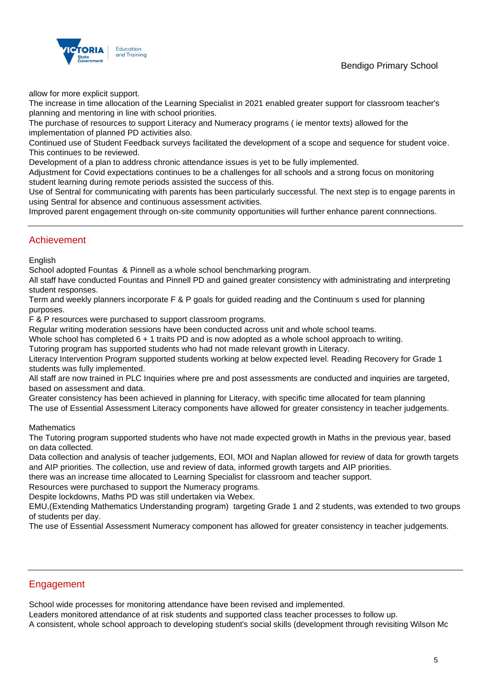## Bendigo Primary School



allow for more explicit support.

The increase in time allocation of the Learning Specialist in 2021 enabled greater support for classroom teacher's planning and mentoring in line with school priorities.

The purchase of resources to support Literacy and Numeracy programs ( ie mentor texts) allowed for the implementation of planned PD activities also.

Continued use of Student Feedback surveys facilitated the development of a scope and sequence for student voice. This continues to be reviewed.

Development of a plan to address chronic attendance issues is yet to be fully implemented.

Adjustment for Covid expectations continues to be a challenges for all schools and a strong focus on monitoring student learning during remote periods assisted the success of this.

Use of Sentral for communicating with parents has been particularly successful. The next step is to engage parents in using Sentral for absence and continuous assessment activities.

Improved parent engagement through on-site community opportunities will further enhance parent connnections.

### Achievement

**English** 

School adopted Fountas & Pinnell as a whole school benchmarking program.

All staff have conducted Fountas and Pinnell PD and gained greater consistency with administrating and interpreting student responses.

Term and weekly planners incorporate F & P goals for guided reading and the Continuum s used for planning purposes.

F & P resources were purchased to support classroom programs.

Regular writing moderation sessions have been conducted across unit and whole school teams.

Whole school has completed  $6 + 1$  traits PD and is now adopted as a whole school approach to writing.

Tutoring program has supported students who had not made relevant growth in Literacy.

Literacy Intervention Program supported students working at below expected level. Reading Recovery for Grade 1 students was fully implemented.

All staff are now trained in PLC Inquiries where pre and post assessments are conducted and inquiries are targeted, based on assessment and data.

Greater consistency has been achieved in planning for Literacy, with specific time allocated for team planning

The use of Essential Assessment Literacy components have allowed for greater consistency in teacher judgements.

### **Mathematics**

The Tutoring program supported students who have not made expected growth in Maths in the previous year, based on data collected.

Data collection and analysis of teacher judgements, EOI, MOI and Naplan allowed for review of data for growth targets and AIP priorities. The collection, use and review of data, informed growth targets and AIP priorities.

there was an increase time allocated to Learning Specialist for classroom and teacher support.

Resources were purchased to support the Numeracy programs.

Despite lockdowns, Maths PD was still undertaken via Webex.

EMU,(Extending Mathematics Understanding program) targeting Grade 1 and 2 students, was extended to two groups of students per day.

The use of Essential Assessment Numeracy component has allowed for greater consistency in teacher judgements.

### Engagement

School wide processes for monitoring attendance have been revised and implemented.

Leaders monitored attendance of at risk students and supported class teacher processes to follow up.

A consistent, whole school approach to developing student's social skills (development through revisiting Wilson Mc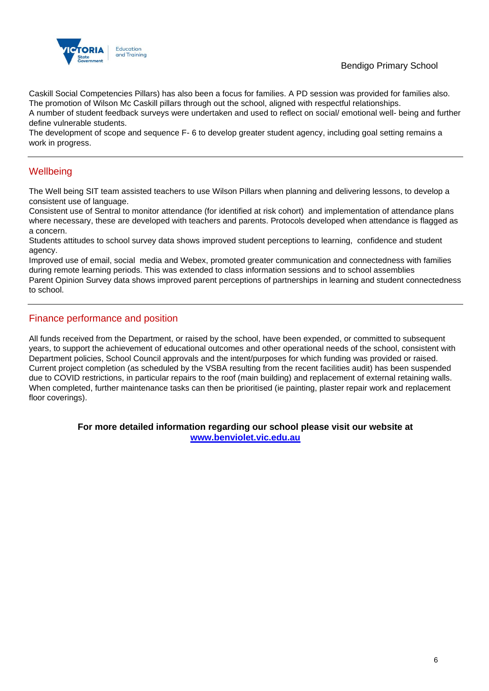

## Bendigo Primary School

Caskill Social Competencies Pillars) has also been a focus for families. A PD session was provided for families also. The promotion of Wilson Mc Caskill pillars through out the school, aligned with respectful relationships.

A number of student feedback surveys were undertaken and used to reflect on social/ emotional well- being and further define vulnerable students.

The development of scope and sequence F- 6 to develop greater student agency, including goal setting remains a work in progress.

## **Wellbeing**

The Well being SIT team assisted teachers to use Wilson Pillars when planning and delivering lessons, to develop a consistent use of language.

Consistent use of Sentral to monitor attendance (for identified at risk cohort) and implementation of attendance plans where necessary, these are developed with teachers and parents. Protocols developed when attendance is flagged as a concern.

Students attitudes to school survey data shows improved student perceptions to learning, confidence and student agency.

Improved use of email, social media and Webex, promoted greater communication and connectedness with families during remote learning periods. This was extended to class information sessions and to school assemblies Parent Opinion Survey data shows improved parent perceptions of partnerships in learning and student connectedness to school.

## Finance performance and position

All funds received from the Department, or raised by the school, have been expended, or committed to subsequent years, to support the achievement of educational outcomes and other operational needs of the school, consistent with Department policies, School Council approvals and the intent/purposes for which funding was provided or raised. Current project completion (as scheduled by the VSBA resulting from the recent facilities audit) has been suspended due to COVID restrictions, in particular repairs to the roof (main building) and replacement of external retaining walls. When completed, further maintenance tasks can then be prioritised (ie painting, plaster repair work and replacement floor coverings).

> **For more detailed information regarding our school please visit our website at [www.benviolet.vic.edu.au](file:///C:/Users/02038324/Downloads/www.benviolet.vic.edu.au)**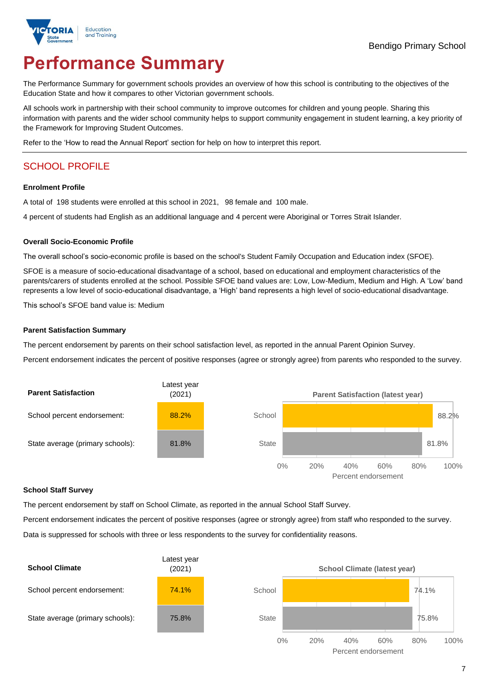

# **Performance Summary**

The Performance Summary for government schools provides an overview of how this school is contributing to the objectives of the Education State and how it compares to other Victorian government schools.

All schools work in partnership with their school community to improve outcomes for children and young people. Sharing this information with parents and the wider school community helps to support community engagement in student learning, a key priority of the Framework for Improving Student Outcomes.

Refer to the 'How to read the Annual Report' section for help on how to interpret this report.

## SCHOOL PROFILE

### **Enrolment Profile**

A total of 198 students were enrolled at this school in 2021, 98 female and 100 male.

4 percent of students had English as an additional language and 4 percent were Aboriginal or Torres Strait Islander.

### **Overall Socio-Economic Profile**

The overall school's socio-economic profile is based on the school's Student Family Occupation and Education index (SFOE).

SFOE is a measure of socio-educational disadvantage of a school, based on educational and employment characteristics of the parents/carers of students enrolled at the school. Possible SFOE band values are: Low, Low-Medium, Medium and High. A 'Low' band represents a low level of socio-educational disadvantage, a 'High' band represents a high level of socio-educational disadvantage.

This school's SFOE band value is: Medium

### **Parent Satisfaction Summary**

The percent endorsement by parents on their school satisfaction level, as reported in the annual Parent Opinion Survey.

Percent endorsement indicates the percent of positive responses (agree or strongly agree) from parents who responded to the survey.



#### **School Staff Survey**

The percent endorsement by staff on School Climate, as reported in the annual School Staff Survey.

Percent endorsement indicates the percent of positive responses (agree or strongly agree) from staff who responded to the survey. Data is suppressed for schools with three or less respondents to the survey for confidentiality reasons.

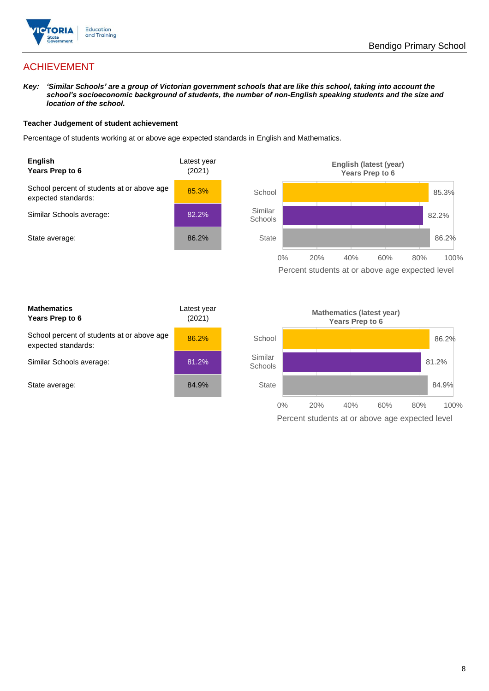

## ACHIEVEMENT

*Key: 'Similar Schools' are a group of Victorian government schools that are like this school, taking into account the school's socioeconomic background of students, the number of non-English speaking students and the size and location of the school.*

### **Teacher Judgement of student achievement**

Percentage of students working at or above age expected standards in English and Mathematics.



Percent students at or above age expected level

| <b>Mathematics</b><br>Years Prep to 6                             | Latest year<br>(2021) |
|-------------------------------------------------------------------|-----------------------|
| School percent of students at or above age<br>expected standards: | 86.2%                 |
| Similar Schools average:                                          | 81.2%                 |
| State average:                                                    | 84.9%                 |

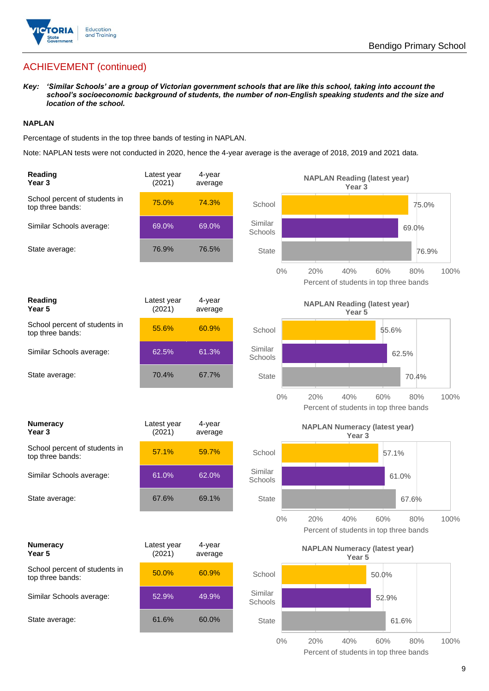

## ACHIEVEMENT (continued)

*Key: 'Similar Schools' are a group of Victorian government schools that are like this school, taking into account the school's socioeconomic background of students, the number of non-English speaking students and the size and location of the school.*

### **NAPLAN**

Percentage of students in the top three bands of testing in NAPLAN.

Note: NAPLAN tests were not conducted in 2020, hence the 4-year average is the average of 2018, 2019 and 2021 data.

| Reading<br>Year 3                                 | Latest year<br>(2021) | 4-year<br>average |                    | <b>NAPLAN Reading (latest year)</b><br>Year <sub>3</sub>                   |
|---------------------------------------------------|-----------------------|-------------------|--------------------|----------------------------------------------------------------------------|
| School percent of students in<br>top three bands: | 75.0%                 | 74.3%             | School             | 75.0%                                                                      |
| Similar Schools average:                          | 69.0%                 | 69.0%             | Similar<br>Schools | 69.0%                                                                      |
| State average:                                    | 76.9%                 | 76.5%             | <b>State</b>       | 76.9%                                                                      |
|                                                   |                       |                   | $0\%$              | 20%<br>40%<br>60%<br>80%<br>100%<br>Percent of students in top three bands |
| Reading<br>Year 5                                 | Latest year<br>(2021) | 4-year<br>average |                    | <b>NAPLAN Reading (latest year)</b><br>Year 5                              |
| School percent of students in<br>top three bands: | 55.6%                 | 60.9%             | School             | 55.6%                                                                      |
| Similar Schools average:                          | 62.5%                 | 61.3%             | Similar<br>Schools | 62.5%                                                                      |
| State average:                                    | 70.4%                 | 67.7%             | <b>State</b>       | 70.4%                                                                      |
|                                                   |                       |                   | $0\%$              | 20%<br>40%<br>60%<br>80%<br>100%<br>Percent of students in top three bands |
|                                                   |                       |                   |                    |                                                                            |
| <b>Numeracy</b><br>Year <sub>3</sub>              | Latest year<br>(2021) | 4-year<br>average |                    | <b>NAPLAN Numeracy (latest year)</b><br>Year <sub>3</sub>                  |
| School percent of students in<br>top three bands: | 57.1%                 | 59.7%             | School             | 57.1%                                                                      |
| Similar Schools average:                          | 61.0%                 | 62.0%             | Similar<br>Schools | 61.0%                                                                      |
| State average:                                    | 67.6%                 | 69.1%             | <b>State</b>       | 67.6%                                                                      |
|                                                   |                       |                   | $0\%$              | 100%<br>20%<br>40%<br>60%<br>80%<br>Percent of students in top three bands |
| <b>Numeracy</b><br>Year 5                         | Latest year<br>(2021) | 4-year<br>average |                    | <b>NAPLAN Numeracy (latest year)</b><br>Year <sub>5</sub>                  |
| School percent of students in<br>top three bands: | 50.0%                 | 60.9%             | School             | 50.0%                                                                      |
| Similar Schools average:                          | 52.9%                 | 49.9%             | Similar<br>Schools | 52.9%                                                                      |
| State average:                                    | 61.6%                 | 60.0%             | State              | 61.6%                                                                      |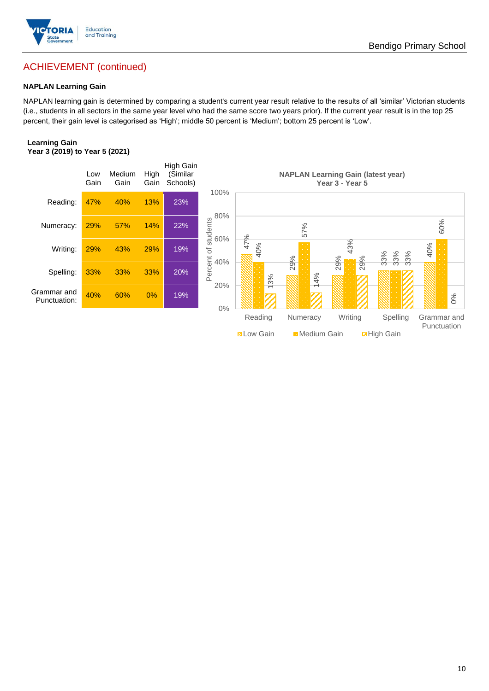

## ACHIEVEMENT (continued)

### **NAPLAN Learning Gain**

NAPLAN learning gain is determined by comparing a student's current year result relative to the results of all 'similar' Victorian students (i.e., students in all sectors in the same year level who had the same score two years prior). If the current year result is in the top 25 percent, their gain level is categorised as 'High'; middle 50 percent is 'Medium'; bottom 25 percent is 'Low'.

### **Learning Gain Year 3 (2019) to Year 5 (2021)**

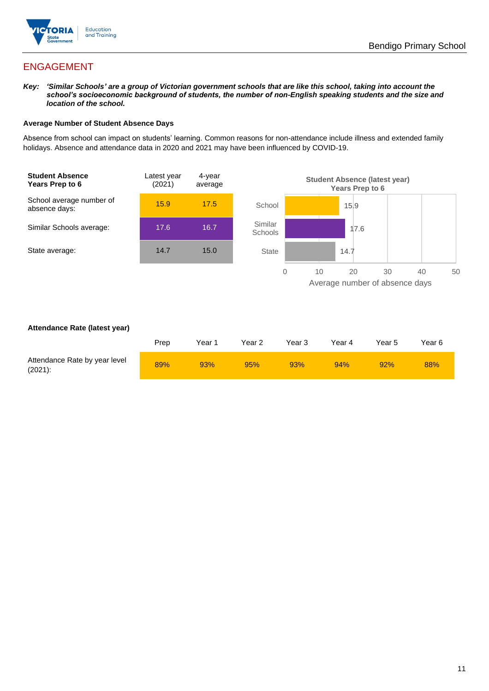

## ENGAGEMENT

*Key: 'Similar Schools' are a group of Victorian government schools that are like this school, taking into account the school's socioeconomic background of students, the number of non-English speaking students and the size and location of the school.*

### **Average Number of Student Absence Days**

Absence from school can impact on students' learning. Common reasons for non-attendance include illness and extended family holidays. Absence and attendance data in 2020 and 2021 may have been influenced by COVID-19.



### **Attendance Rate (latest year)**

|                                             | Prep | Year 1 | Year 2 | Year <sub>3</sub> | Year 4 | Year 5 | Year 6 |
|---------------------------------------------|------|--------|--------|-------------------|--------|--------|--------|
| Attendance Rate by year level<br>$(2021)$ : | 89%  | 93%    | 95%    | 93%               | 94%    | 92%    | 88%    |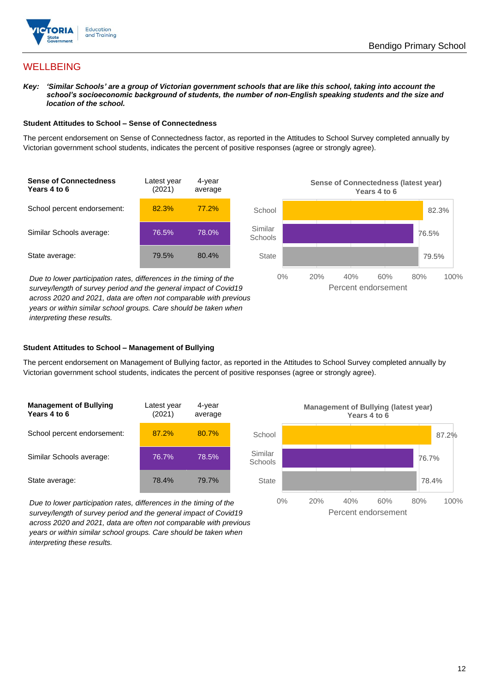

## **WELLBEING**

*Key: 'Similar Schools' are a group of Victorian government schools that are like this school, taking into account the school's socioeconomic background of students, the number of non-English speaking students and the size and location of the school.*

### **Student Attitudes to School – Sense of Connectedness**

The percent endorsement on Sense of Connectedness factor, as reported in the Attitudes to School Survey completed annually by Victorian government school students, indicates the percent of positive responses (agree or strongly agree).



*Due to lower participation rates, differences in the timing of the survey/length of survey period and the general impact of Covid19 across 2020 and 2021, data are often not comparable with previous years or within similar school groups. Care should be taken when interpreting these results.*



### **Student Attitudes to School – Management of Bullying**

The percent endorsement on Management of Bullying factor, as reported in the Attitudes to School Survey completed annually by Victorian government school students, indicates the percent of positive responses (agree or strongly agree).

| <b>Management of Bullying</b><br>Years 4 to 6 | Latest year<br>(2021) | 4-year<br>average |  |
|-----------------------------------------------|-----------------------|-------------------|--|
| School percent endorsement:                   | 87.2%                 | 80.7%             |  |
| Similar Schools average:                      | 76.7%                 | 78.5%             |  |
| State average:                                | 78.4%                 | 79.7%             |  |

*Due to lower participation rates, differences in the timing of the survey/length of survey period and the general impact of Covid19 across 2020 and 2021, data are often not comparable with previous years or within similar school groups. Care should be taken when interpreting these results.*

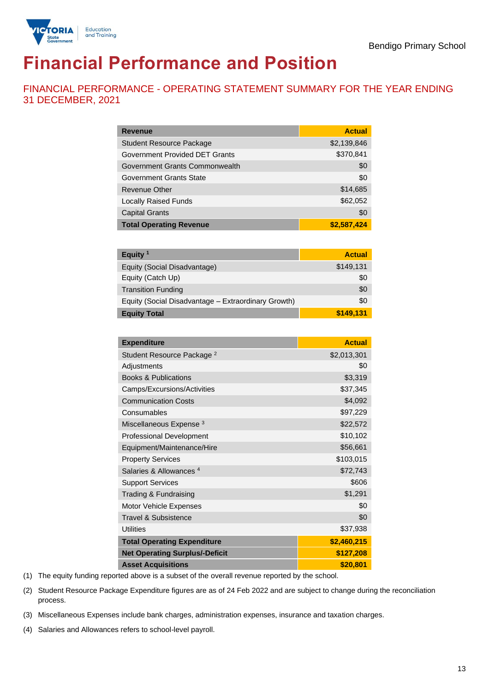

# **Financial Performance and Position**

FINANCIAL PERFORMANCE - OPERATING STATEMENT SUMMARY FOR THE YEAR ENDING 31 DECEMBER, 2021

| <b>Revenue</b>                  | <b>Actual</b> |
|---------------------------------|---------------|
| <b>Student Resource Package</b> | \$2,139,846   |
| Government Provided DET Grants  | \$370,841     |
| Government Grants Commonwealth  | \$0           |
| Government Grants State         | \$0           |
| <b>Revenue Other</b>            | \$14,685      |
| <b>Locally Raised Funds</b>     | \$62,052      |
| <b>Capital Grants</b>           | \$0           |
| <b>Total Operating Revenue</b>  | \$2,587,424   |

| Equity $1$                                          | <b>Actual</b> |
|-----------------------------------------------------|---------------|
| Equity (Social Disadvantage)                        | \$149,131     |
| Equity (Catch Up)                                   | \$0           |
| <b>Transition Funding</b>                           | \$0           |
| Equity (Social Disadvantage - Extraordinary Growth) | \$0           |
| <b>Equity Total</b>                                 | \$149,131     |

| <b>Expenditure</b>                    | <b>Actual</b> |
|---------------------------------------|---------------|
| Student Resource Package <sup>2</sup> | \$2,013,301   |
| Adjustments                           | \$0           |
| <b>Books &amp; Publications</b>       | \$3,319       |
| Camps/Excursions/Activities           | \$37,345      |
| <b>Communication Costs</b>            | \$4,092       |
| Consumables                           | \$97,229      |
| Miscellaneous Expense <sup>3</sup>    | \$22,572      |
| <b>Professional Development</b>       | \$10,102      |
| Equipment/Maintenance/Hire            | \$56,661      |
| <b>Property Services</b>              | \$103,015     |
| Salaries & Allowances <sup>4</sup>    | \$72,743      |
| <b>Support Services</b>               | \$606         |
| Trading & Fundraising                 | \$1,291       |
| Motor Vehicle Expenses                | \$0           |
| Travel & Subsistence                  | \$0           |
| <b>Utilities</b>                      | \$37,938      |
| <b>Total Operating Expenditure</b>    | \$2,460,215   |
| <b>Net Operating Surplus/-Deficit</b> | \$127,208     |
| <b>Asset Acquisitions</b>             | \$20,801      |

(1) The equity funding reported above is a subset of the overall revenue reported by the school.

(2) Student Resource Package Expenditure figures are as of 24 Feb 2022 and are subject to change during the reconciliation process.

(3) Miscellaneous Expenses include bank charges, administration expenses, insurance and taxation charges.

(4) Salaries and Allowances refers to school-level payroll.